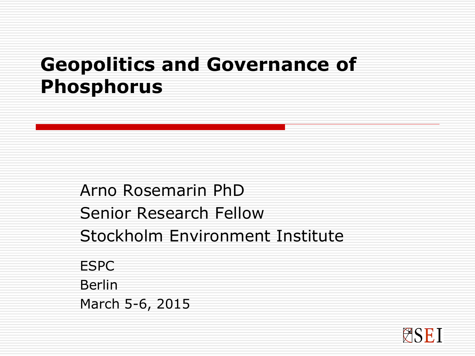#### **Geopolitics and Governance of Phosphorus**

Arno Rosemarin PhD Senior Research Fellow Stockholm Environment Institute ESPC Berlin March 5-6, 2015

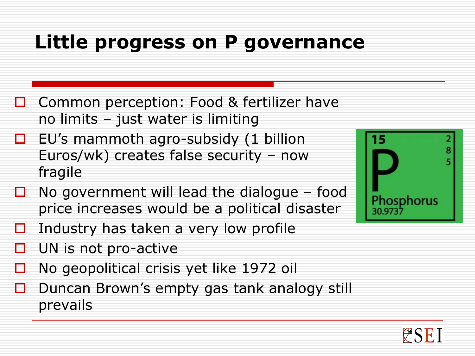#### **Little progress on P governance**

- □ Common perception: Food & fertilizer have no limits – just water is limiting
- $\Box$  EU's mammoth agro-subsidy (1 billion Euros/wk) creates false security – now fragile
- $\Box$  No government will lead the dialogue food price increases would be a political disaster
- Industry has taken a very low profile
- UN is not pro-active
- No geopolitical crisis yet like 1972 oil
- $\Box$  Duncan Brown's empty gas tank analogy still prevails



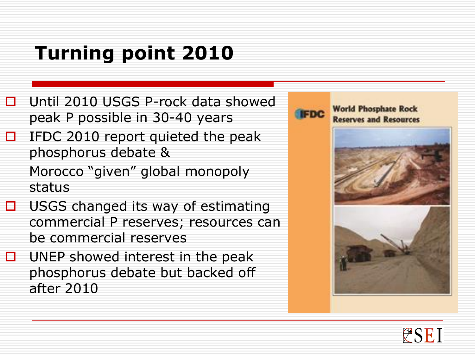## **Turning point 2010**

- □ Until 2010 USGS P-rock data showed peak P possible in 30-40 years
- $\Box$  IFDC 2010 report quieted the peak phosphorus debate & Morocco "given" global monopoly
- status  $\Box$  USGS changed its way of estimating commercial P reserves; resources can
	- be commercial reserves
- $\Box$  UNEP showed interest in the peak phosphorus debate but backed off after 2010



**World Phosphate Rock Reserves and Resources** 



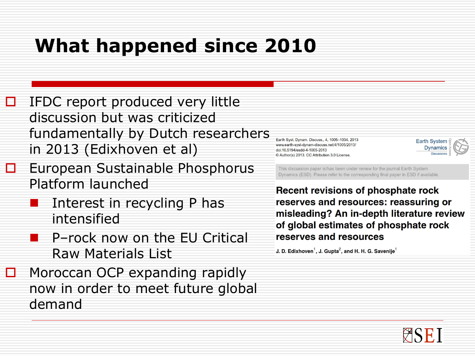### **What happened since 2010**

- $\Box$  IFDC report produced very little discussion but was criticized fundamentally by Dutch researchers in 2013 (Edixhoven et al)
- **EU European Sustainable Phosphorus** Platform launched
	- Interest in recycling P has intensified
	- **P** P-rock now on the EU Critical Raw Materials List
- $\Box$  Moroccan OCP expanding rapidly now in order to meet future global demand

Earth Syst. Dynam. Discuss., 4, 1005-1034, 2013 www.earth-syst-dynam-discuss.net/4/1005/2013/ doi:10.5194/esdd-4-1005-2013 © Author(s) 2013, CC Attribution 3.0 License.

This discussion paper is/has been under review for the journal Earth System Dynamics (ESD). Please refer to the corresponding final paper in ESD if available.

Recent revisions of phosphate rock reserves and resources: reassuring or misleading? An in-depth literature review of global estimates of phosphate rock reserves and resources

J. D. Edixhoven<sup>1</sup>, J. Gupta<sup>2</sup>, and H. H. G. Savenije<sup>1</sup>



**Earth System** 

**Dynamics**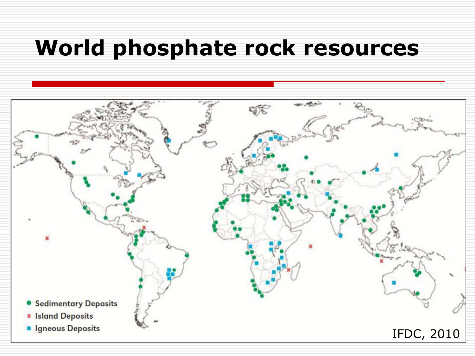### **World phosphate rock resources**

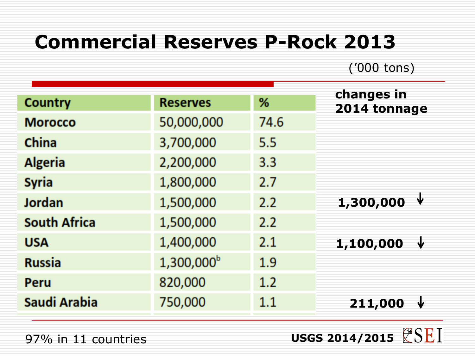#### **Commercial Reserves P-Rock 2013**

('000 tons)

|                     |                     |      | changes in     |
|---------------------|---------------------|------|----------------|
| <b>Country</b>      | <b>Reserves</b>     | %    | 2014 tonnage   |
| <b>Morocco</b>      | 50,000,000          | 74.6 |                |
| <b>China</b>        | 3,700,000           | 5.5  |                |
| <b>Algeria</b>      | 2,200,000           | 3.3  |                |
| <b>Syria</b>        | 1,800,000           | 2.7  |                |
| <b>Jordan</b>       | 1,500,000           | 2.2  | 1,300,000      |
| <b>South Africa</b> | 1,500,000           | 2.2  |                |
| <b>USA</b>          | 1,400,000           | 2.1  | 1,100,000<br>ψ |
| <b>Russia</b>       | $1,300,000^{\rm b}$ | 1.9  |                |
| Peru                | 820,000             | 1.2  |                |
| Saudi Arabia        | 750,000             | 1.1  | 211,000        |
|                     |                     |      |                |

97% in 11 countries

**USGS 2014/2015**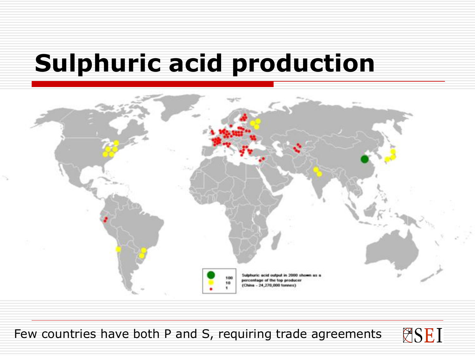# **Sulphuric acid production**



Few countries have both P and S, requiring trade agreements

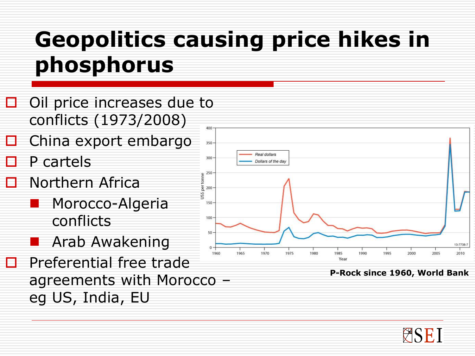# **Geopolitics causing price hikes in phosphorus**

- $\Box$  Oil price increases due to conflicts (1973/2008) 400
- China export embargo
- P cartels
- Northern Africa
	- Morocco-Algeria conflicts
	- Arab Awakening
- $\Box$  Preferential free trade agreements with Morocco – eg US, India, EU



**P-Rock since 1960, World Bank**

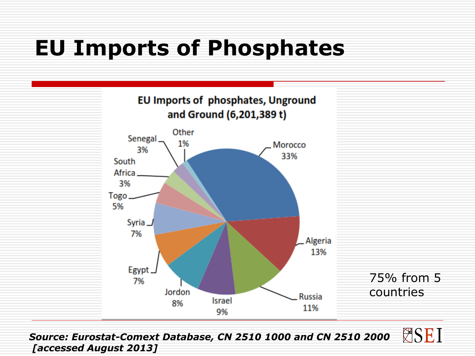# **EU Imports of Phosphates**



**ESEI** *Source: Eurostat-Comext Database, CN 2510 1000 and CN 2510 2000 [accessed August 2013]*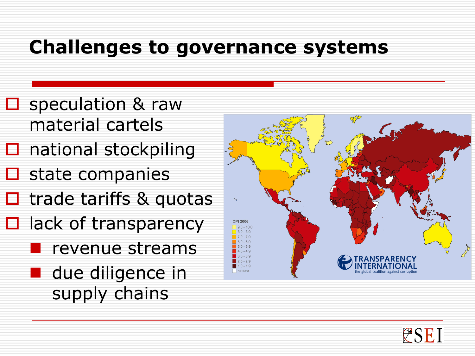#### **Challenges to governance systems**

- **□** speculation & raw material cartels
- $\square$  national stockpiling
- state companies
- $\Box$  trade tariffs & quotas
- $\Box$  lack of transparency
	- **P** revenue streams
	- **due diligence in** supply chains



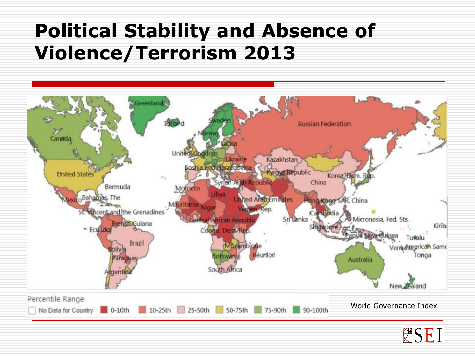#### **Political Stability and Absence of Violence/Terrorism 2013**



WSEI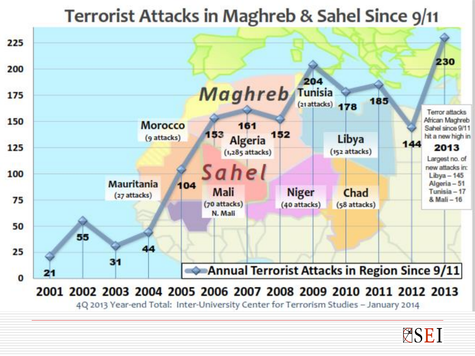



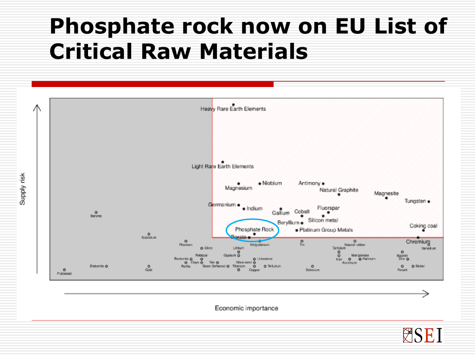# **Phosphate rock now on EU List of Critical Raw Materials**



Economic importance

**ESEI**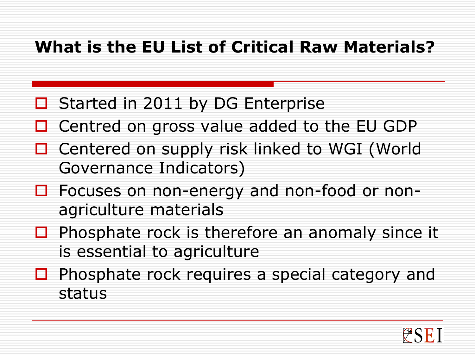#### **What is the EU List of Critical Raw Materials?**

- Started in 2011 by DG Enterprise
- Centred on gross value added to the EU GDP
- Centered on supply risk linked to WGI (World Governance Indicators)
- □ Focuses on non-energy and non-food or nonagriculture materials
- $\Box$  Phosphate rock is therefore an anomaly since it is essential to agriculture
- $\Box$  Phosphate rock requires a special category and status

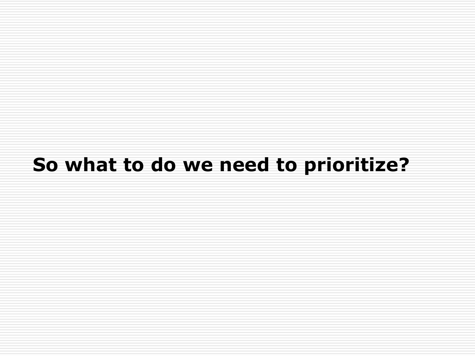#### **So what to do we need to prioritize?**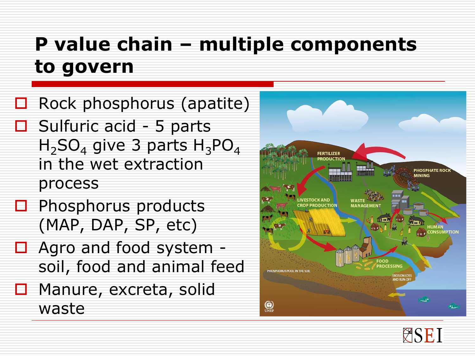## **P value chain – multiple components to govern**

 Rock phosphorus (apatite)  $\Box$  Sulfuric acid - 5 parts  $H_2SO_4$  give 3 parts  $H_3PO_4$ in the wet extraction process

- $\Box$  Phosphorus products (MAP, DAP, SP, etc)
- □ Agro and food system soil, food and animal feed
- □ Manure, excreta, solid waste



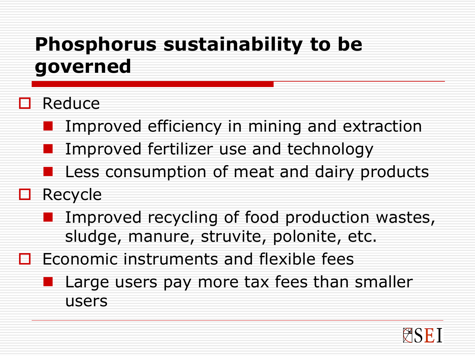## **Phosphorus sustainability to be governed**

#### Reduce

- **Improved efficiency in mining and extraction** 
	- Improved fertilizer use and technology
- **Less consumption of meat and dairy products**

#### □ Recycle

- **I** Improved recycling of food production wastes, sludge, manure, struvite, polonite, etc.
- $\Box$  Economic instruments and flexible fees
	- **Large users pay more tax fees than smaller** users

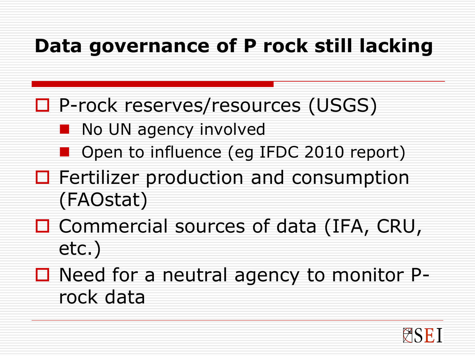#### **Data governance of P rock still lacking**

- **□ P-rock reserves/resources (USGS)** 
	- **No UN agency involved** 
		- Open to influence (eg IFDC 2010 report)
- $\Box$  Fertilizer production and consumption (FAOstat)
- □ Commercial sources of data (IFA, CRU, etc.)
- $\Box$  Need for a neutral agency to monitor Prock data

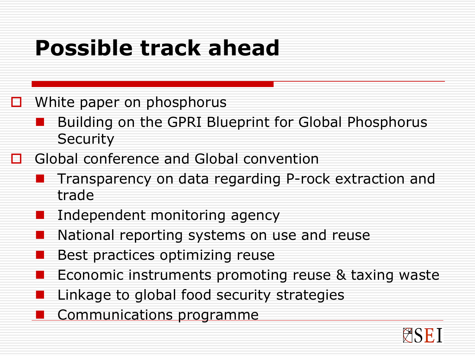# **Possible track ahead**

 $\Box$  White paper on phosphorus

- Building on the GPRI Blueprint for Global Phosphorus **Security**
- **□** Global conference and Global convention
	- Transparency on data regarding P-rock extraction and trade
	- Independent monitoring agency
	- National reporting systems on use and reuse
	- Best practices optimizing reuse
	- Economic instruments promoting reuse & taxing waste
	- Linkage to global food security strategies
		- Communications programme